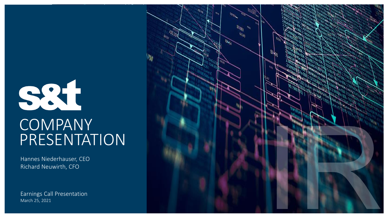# 884 **COMPANY** PRESENTATION

Hannes Niederhauser, CEO Richard Neuwirth, CFO

Earnings Call Presentation March 25, 2021

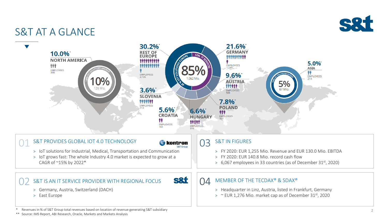

### S&T AT A GLANCE



Revenues in % of S&T Group total revenues based on location of revenue generating S&T subsidiary

\*\* Source: IMS Report, ABI Research, Oracle, Markets and Markets Analysis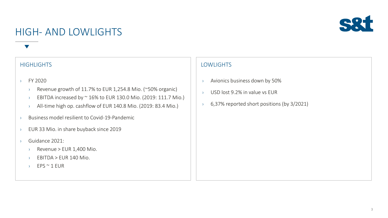### HIGH- AND LOWLIGHTS



- › FY 2020
	- › Revenue growth of 11.7% to EUR 1,254.8 Mio. (~50% organic)
	- $\rightarrow$  EBITDA increased by  $\sim$  16% to EUR 130.0 Mio. (2019: 111.7 Mio.)
	- › All-time high op. cashflow of EUR 140.8 Mio. (2019: 83.4 Mio.)
- › Business model resilient to Covid-19-Pandemic
- › EUR 33 Mio. in share buyback since 2019
- › Guidance 2021:
	- $\angle$  Revenue > EUR 1,400 Mio.
	- $\rightarrow$  EBITDA > EUR 140 Mio.
	- › EPS ~ 1 EUR

- › Avionics business down by 50%
- › USD lost 9.2% in value vs EUR
- › 6,37% reported short positions (by 3/2021)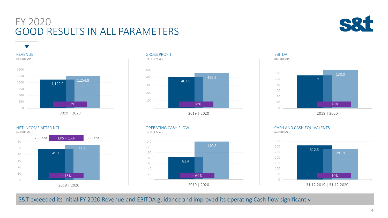### FY 2020 GOOD RESULTS IN ALL PARAMETERS







#### GROSS PROFIT (in EUR Mio.)



#### EBITDA (in EUR Mio.)



#### NET INCOME AFTER NCI



#### OPERATING CASH FLOW (in EUR Mio.)



#### CASH AND CASH EQUIVALENTS

(in EUR Mio.)



31.12.2019 | 31.12.2020

S&T exceeded its initial FY 2020 Revenue and EBITDA guidance and improved its operating Cash flow significantly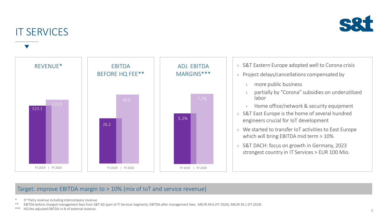

### IT SERVICES



#### Target: improve EBITDA margin to > 10% (mix of IoT and service revenue)

\* 3 rd Party revenue including intercompany revenue

EBITDA before charged management fees from S&T AG (part of IT Services Segment); EBITDA after management fees: MEUR 49.6 (FY 2020), MEUR 34.1 (FY 2019)

\*\*\* HQ-fee adjusted EBITDA in % of external revenue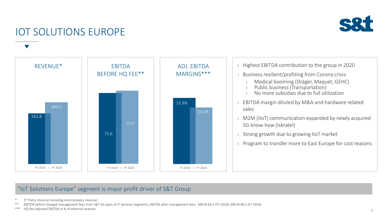

### IOT SOLUTIONS EUROPE



#### "IoT Solutions Europe" segment is major profit driver of S&T Group

\* 3 rd Party revenue including intercompany revenue

\*\* EBITDA before charged management fees from S&T AG (part of IT Services Segment); EBITDA after management fees: MEUR 66.4 (FY 2020), MEUR 68.2 (FY 2019)

\*\*\* HQ-fee adjusted EBITDA in % of external revenue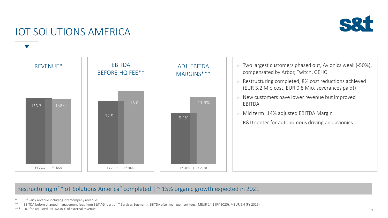

### IOT SOLUTIONS AMERICA



#### Restructuring of "IoT Solutions America" completed | ~ 15% organic growth expected in 2021

\* 3 rd Party revenue including intercompany revenue

\*\* EBITDA before charged management fees from S&T AG (part of IT Services Segment); EBITDA after management fees: MEUR 14.1 (FY 2020), MEUR 9.4 (FY 2019)

\*\*\* HQ-fee adjusted EBITDA in % of external revenue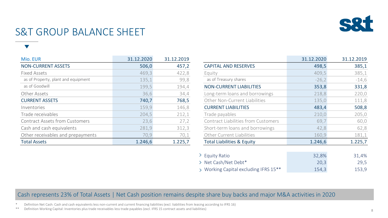

### S&T GROUP BALANCE SHEET

| Mio. EUR                              | 31.12.2020 | 31.12.2019 |                                            | 31.12.2020 | 31.12.2019 |
|---------------------------------------|------------|------------|--------------------------------------------|------------|------------|
| <b>NON-CURRENT ASSETS</b>             | 506,0      | 457,2      | <b>CAPITAL AND RESERVES</b>                | 498,5      | 385,1      |
| <b>Fixed Assets</b>                   | 469,3      | 422,8      | Equity                                     | 409,5      | 385,1      |
| as of Property, plant and equipment   | 135,1      | 99,8       | as of Treasury shares                      | $-26,2$    | $-14,6$    |
| as of Goodwill                        | 199,5      | 194,4      | <b>NON-CURRENT LIABILITIES</b>             | 353,8      | 331,8      |
| Other Assets                          | 36,6       | 34,4       | Long-term loans and borrowings             | 218,8      | 220,0      |
| <b>CURRENT ASSETS</b>                 | 740,7      | 768,5      | Other Non-Current Liabilities              | 135,0      | 111,8      |
| Inventories                           | 159,9      | 146,8      | <b>CURRENT LIABILITIES</b>                 | 483,4      | 508,8      |
| Trade receivables                     | 204,5      | 212,1      | Trade payables                             | 210,0      | 205,0      |
| <b>Contract Assets from Customers</b> | 23,6       | 27,2       | <b>Contract Liabilities from Customers</b> | 69,7       | 60,0       |
| Cash and cash equivalents             | 281,9      | 312,3      | Short-term loans and borrowings            | 42,8       | 62,8       |
| Other receivables and prepayments     | 70,9       | 70,1       | Other Current Liabilities                  | 160,9      | 181,1      |
| <b>Total Assets</b>                   | 1.246,6    | 1.225,7    | <b>Total Liabilities &amp; Equity</b>      | 1.246,6    | 1.225,7    |

|                                            | 31.12.2020 | 31.12.2019 |
|--------------------------------------------|------------|------------|
| <b>CAPITAL AND RESERVES</b>                | 498,5      | 385,1      |
| Equity                                     | 409,5      | 385,1      |
| as of Treasury shares                      | $-26,2$    | $-14,6$    |
| <b>NON-CURRENT LIABILITIES</b>             | 353,8      | 331,8      |
| Long-term loans and borrowings             | 218,8      | 220,0      |
| Other Non-Current Liabilities              | 135,0      | 111,8      |
| <b>CURRENT LIABILITIES</b>                 | 483,4      | 508,8      |
| Trade payables                             | 210,0      | 205,0      |
| <b>Contract Liabilities from Customers</b> | 69,7       | 60,0       |
| Short-term loans and borrowings            | 42,8       | 62,8       |
| <b>Other Current Liabilities</b>           | 160,9      | 181,1      |
| <b>Total Liabilities &amp; Equity</b>      | 1.246,6    | 1.225,7    |
|                                            |            |            |
| <b>Equity Ratio</b>                        | 32,8%      | 31,4%      |
| Net Cash/Net Debt*                         | 20,3       | 29,5       |
| > Working Capital excluding IFRS 15**      | 154,3      | 153,9      |

#### Cash represents 23% of Total Assets | Net Cash position remains despite share buy backs and major M&A activities in 2020

Definition Net Cash: Cash and cash equivalents less non-current and current financing liabilities (excl. liabilities from leasing according to IFRS 16)

\*\* Definition Working Capital: Inventories plus trade receivables less trade payables (excl. IFRS 15 contract assets and liabilities)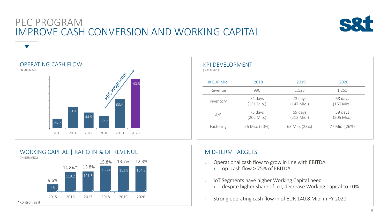### PEC PROGRAM IMPROVE CASH CONVERSION AND WORKING CAPITAL



OPERATING CASH FLOW (IN EUR MIO.) PEC DEGREEMENT 140.8 83.4 61.4 44.9 35.5 26.7 2015 2016 2017 2018 2019 2020

| <b>KPI DEVELOPMENT</b><br>(IN EUR MIO.) |                         |                         |                         |
|-----------------------------------------|-------------------------|-------------------------|-------------------------|
| in EUR Mio.                             | 2018                    | 2019                    | 2020                    |
| Revenue                                 | 990                     | 1,123                   | 1,255                   |
| Inventory                               | 74 days<br>$(131$ Mio.) | 73 days<br>$(147$ Mio.) | 68 days<br>$(160$ Mio.) |
| A/R                                     | 75 days<br>$(202$ Mio.) | 69 days<br>$(212$ Mio.) | 59 days<br>$(205$ Mio.) |
| Factoring                               | 56 Mio. (20%)           | 63 Mio. (23%)           | 77 Mio. (26%)           |



#### MID-TERM TARGETS

- › Operational cash flow to grow in line with EBITDA
	- › op. cash flow > 75% of EBITDA
- › IoT Segments have higher Working Capital need
	- › despite higher share of IoT, decrease Working Capital to 10%
- › Strong operating cash flow in of EUR 140.8 Mio. in FY 2020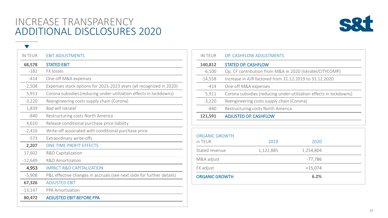### INCREASE TRANSPARENCY ADDITIONAL DISCLOSURES 2020

 $\blacktriangledown$ 



| <b>IN TEUR</b> | <b>EBIT ADJUSTMENTS</b>                                                |
|----------------|------------------------------------------------------------------------|
| 68,578         | <b>STATED EBIT</b>                                                     |
| $-182$         | <b>FX losses</b>                                                       |
| $-414$         | One-off M&A expenses                                                   |
| $-2,508$       | Expenses stock options for 2021-2023 years (all recognized in 2020)    |
| 5,911          | Corona subsidies (reducing under-utilization effects in lockdowns)     |
| $-3,220$       | Reengineering costs supply chain (Corona)                              |
| 1,839          | Bad will Iskratel                                                      |
| $-840$         | Restructuring costs North America                                      |
| 4,610          | Release conditional purchase price liability                           |
| $-2,416$       | Write-off associated with conditional purchase price                   |
| $-573$         | Extraordinary write-offs                                               |
| 2,207          | ONE TIME PROFIT EFFECTS                                                |
| 17,602         | <b>R&amp;D Capitalization</b>                                          |
| $-12,649$      | <b>R&amp;D Amortization</b>                                            |
| 4,953          | <b>IMPACT R&amp;D CAPITALIZATION</b>                                   |
| $-5,908$       | P&L effective changes in accruals (see next slide for further details) |
| 67,326         | <b>ADJUSTED EBIT</b>                                                   |
| $-13,147$      | <b>PPA Amortization</b>                                                |
| 80,472         | <b>ADJUSTED EBIT BEFORE PPA</b>                                        |
|                |                                                                        |

| 121,591   | <b>ADJUSTED OP. CASHFLOW</b>                                       |
|-----------|--------------------------------------------------------------------|
| -840      | Restructuring costs North America                                  |
| $-3,220$  | Reengineering costs supply chain (Corona)                          |
| 5,911     | Corona subsidies (reducing under-utilization effects in lockdowns) |
| $-414$    | One-off M&A expenses                                               |
| $-14,558$ | Increase in A/R factored from 31.12.2019 to 31.12.2020             |
| $-6,100$  | Op. CF contribution from M&A in 2020 (Iskratel/CITYCOMP)           |
| 140,812   | <b>STATED OP. CASHFLOW</b>                                         |
| IN TEUR   | OP. CASHFLOW ADJUSTMENTS                                           |
|           |                                                                    |

| <b>ORGANIC GROWTH</b> |           |           |  |
|-----------------------|-----------|-----------|--|
| in TEUR               | 2019      | 2020      |  |
| Stated revenue        | 1,122,885 | 1,254,804 |  |
| M&A adjust            |           | $-77,786$ |  |
| FX adjust             |           | $+15,074$ |  |
| <b>ORGANIC GROWTH</b> |           | 6.2%      |  |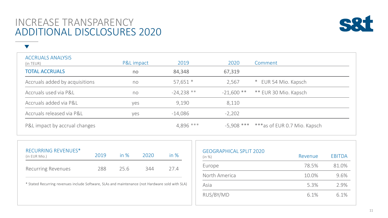### INCREASE TRANSPARENCY ADDITIONAL DISCLOSURES 2020

 $\blacktriangledown$ 



ACCRUALS ANALYSIS (in TEUR) P&L impact 2019 2020 Comment TOTAL ACCRUALS no 84,348 67,319 Accruals added by acquisitions ho ho both 57,651 \* 1.567 \* EUR 54 Mio. Kapsch Accruals used via P&L **no** 124,238 \*\* 121,600 \*\* 121,600 \*\* 120 Mio. Kapsch Accruals added via P&L yes 9,190 8,110 Accruals released via P&L yes -14,086 -2,202 P&L impact by accrual changes extending the state of the 4,896 \*\*\*  $-5,908$  \*\*\*  $***$  as of EUR 0.7 Mio. Kapsch

| (in EUR Mio.)             | 2019 | in $%$ | 2020 | in $%$ |
|---------------------------|------|--------|------|--------|
| <b>Recurring Revenues</b> | 288  | 25.6   | 344  | 27 4   |

| <b>GEOGRAPHICAL SPLIT 2020</b><br>(in %) | Revenue | <b>EBITDA</b> |
|------------------------------------------|---------|---------------|
| Europe                                   | 78.5%   | 81.0%         |
| North America                            | 10.0%   | 9.6%          |
| Asia                                     | 5.3%    | 2.9%          |
| RUS/BY/MD                                | 6.1%    | 6.1%          |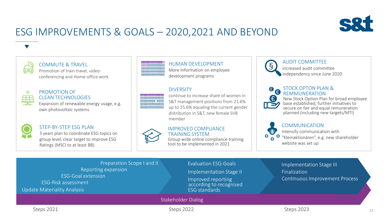

### ESG IMPROVEMENTS & GOALS – 2020,2021 AND BEYOND



فكغا

#### COMMUTE & TRAVEL

Promotion of train travel, videoconferencing and Home-office work



#### PROMOTION OF CLEAN TECHNOLOGIES

Expansion of renewable energy usage, e.g. own photovoltaic systems



#### STEP-BY-STEP ESG PLAN

3 years plan to coordinate ESG topics on group level, clear target to improve ESG Ratings (MSCI to at least BB).



#### HUMAN DEVELOPMENT More Information on employee development programs

#### **DIVERSITY**



continue to increase share of women in S&T management positions from 21.6% up to 25.6% equaling the current gender distribution in S&T, new female SVB member

#### IMPROVED COMPLIANCE TRAINING SYSTEM

Group-wide online compliance training tool to be implemented in 2021



#### AUDIT COMMITTEE

increased audit committee independency since June 2020

# (€)

#### STOCK OPTON PLAN & REMMUNERATION

New Stock Option Plan for broad employee base established, further initiatives to secure on fair and equal remuneration planned (including new targets/MTI)

| ā | ٠<br>٩ |
|---|--------|
|   |        |

#### COMMUNICATION

Intensify communication with  $\bullet$  "Kleinaktionären", e.g. new shareholder website was set up

| Preparation Scope I and II<br>Reporting expansion<br><b>ESG-Goal extension</b><br>ESG-Risk assessment<br>Update Materiality Analysis | <b>Evaluation ESG-Goals</b><br>Implementation Stage II<br>Improved reporting<br>according to recognised<br><b>ESG</b> standards | Implementation Stage III<br>Finalization<br><b>Continuous Improvement Process</b> |
|--------------------------------------------------------------------------------------------------------------------------------------|---------------------------------------------------------------------------------------------------------------------------------|-----------------------------------------------------------------------------------|
|                                                                                                                                      | Stakeholder Dialog                                                                                                              |                                                                                   |
| Steps 2021                                                                                                                           | Steps 2022                                                                                                                      | Steps 2023<br>12                                                                  |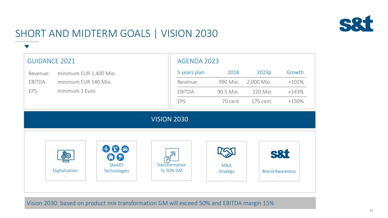

### SHORT AND MIDTERM GOALS | VISION 2030

 $\blacktriangledown$ 

| <b>GUIDANCE 2021</b> |                        |                              |                    | AGENDA 2023                 |                 |                        |                |
|----------------------|------------------------|------------------------------|--------------------|-----------------------------|-----------------|------------------------|----------------|
| Revenue:             | minimum EUR 1,400 Mio. |                              |                    | 5 years plan                | 2018            | 2023p                  | Growth         |
| EBITDA:              | minimum EUR 140 Mio.   |                              |                    | Revenue                     | 990 Mio.        | 2,000 Mio.             | $+102%$        |
| EPS:                 | minimum 1 Euro         |                              |                    | EBITDA                      | 90.5 Mio.       | 220 Mio                | $+143%$        |
|                      |                        |                              |                    | EPS                         | 70 cent         | 175 cent               | $+150%$        |
|                      |                        |                              | <b>VISION 2030</b> |                             |                 |                        |                |
|                      |                        |                              |                    |                             |                 |                        |                |
|                      | <b>හි</b> රු           | $\bigoplus$<br>合身            |                    | ⋝                           |                 |                        | <b>S&amp;t</b> |
|                      | Digitalization         | <b>SMART</b><br>Technologies |                    | Transformation<br>To 50% GM | M&A<br>Strategy | <b>Brand Awareness</b> |                |

Vision 2030: based on product mix transformation GM will exceed 50% and EBITDA margin 15%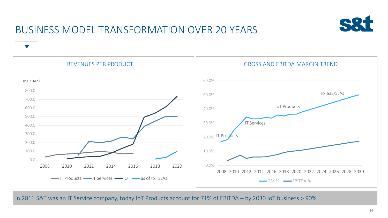

### BUSINESS MODEL TRANSFORMATION OVER 20 YEARS



#### In 2011 S&T was an IT Service company, today IoT Products account for 71% of EBITDA – by 2030 IoT business > 90%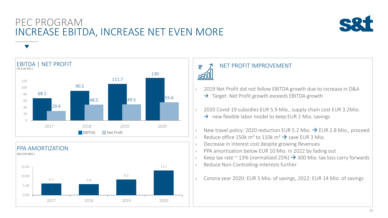### PEC PROGRAM INCREASE EBITDA, INCREASE NET EVEN MORE







#### NET PROFIT IMPROVEMENT

Ξ

60l

- › 2019 Net Profit did not follow EBITDA growth due to increase in D&A  $\rightarrow$  Target: Net Profit growth exceeds EBITDA growth
- <sup>3</sup> 2020 Covid-19 subsidies EUR 5.9 Mio., supply chain cost EUR 3.2Mio.
	- $\rightarrow$  new flexible labor model to keep EUR 2 Mio. savings
- $\rightarrow$  New travel policy: 2020 reduction EUR 5.2 Mio.  $\rightarrow$  EUR 2.8 Mio., proceed Reduce office 150k m<sup>2</sup> to 110k m<sup>2</sup>  $\rightarrow$  save FUR 3 Mio.
- Decrease in interest cost despite growing Revenues
- PPA amortization below EUR 10 Mio. in 2022 by fading out
- Keep tax rate ~ 13% (normalized 25%)  $\rightarrow$  300 Mio. tax loss carry forwards
- Reduce Non-Controlling-Interests further
- › Corona year 2020: EUR 5 Mio. of savings, 2022: EUR 14 Mio. of savings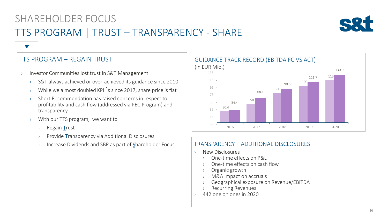## SHAREHOLDER FOCUS TTS PROGRAM | TRUST – TRANSPARENCY - SHARE



### TTS PROGRAM – REGAIN TRUST

- › Investor Communities lost trust in S&T Management
	- › S&T always achieved or over-achieved its guidance since 2010
	- › While we almost doubled KPI´s since 2017, share price is flat
	- › Short Recommendation has raised concerns in respect to profitability and cash flow (addressed via PEC Program) and transparency
	- › With our TTS program, we want to
		- › Regain Trust
		- › Provide Transparency via Additional Disclosures
		- Increase Dividends and SBP as part of Shareholder Focus



#### TRANSPARENCY | ADDITIONAL DISCLOSURES

- › New Disclosures
	- › One-time effects on P&L
	- › One-time effects on cash flow
	- Organic growth
	- › M&A impact on accruals
	- › Geographical exposure on Revenue/EBITDA
	- › Recurring Revenues
- › 442 one on ones in 2020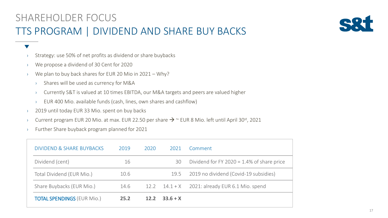

#### $\blacktriangledown$

- › Strategy: use 50% of net profits as dividend or share buybacks
- › We propose a dividend of 30 Cent for 2020
- › We plan to buy back shares for EUR 20 Mio in 2021 Why?
	- › Shares will be used as currency for M&A
	- › Currently S&T is valued at 10 times EBITDA, our M&A targets and peers are valued higher
	- › EUR 400 Mio. available funds (cash, lines, own shares and cashflow)
- <sup>3</sup> 2019 until today EUR 33 Mio. spent on buy backs
- > Current program EUR 20 Mio. at max. EUR 22.50 per share  $\rightarrow$   $\sim$  EUR 8 Mio. left until April 30<sup>st</sup>, 2021
- › Further Share buyback program planned for 2021

| <b>DIVIDEND &amp; SHARE BUYBACKS</b> | 2019 | 2020 | 2021       | Comment                                          |
|--------------------------------------|------|------|------------|--------------------------------------------------|
| Dividend (cent)                      | 16   |      | 30         | Dividend for FY 2020 = $1.4\%$ of share price    |
| Total Dividend (EUR Mio.)            | 10.6 |      | 19.5       | 2019 no dividend (Covid-19 subsidies)            |
| Share Buybacks (EUR Mio.)            | 14.6 |      |            | 12.2 $14.1 + X$ 2021: already EUR 6.1 Mio. spend |
| <b>TOTAL SPENDINGS (EUR Mio.)</b>    | 25.2 | 12.2 | $33.6 + X$ |                                                  |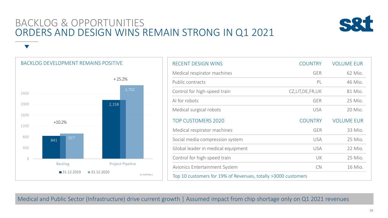### BACKLOG & OPPORTUNITIES ORDERS AND DESIGN WINS REMAIN STRONG IN Q1 2021



841 2,158 927  $\overline{O}$ 400 800 1200 1600 2000 2400 Backlog **Project Pipeline** 31.12.2019 31.12.2020 BACKLOG DEVELOPMENT REMAINS POSITIVE +10.2% + 25.2% (in EUR Mio.) 2,702

| <b>RECENT DESIGN WINS</b>                                     | <b>COUNTRY</b>     | <b>VOLUME EUR</b> |  |  |  |  |
|---------------------------------------------------------------|--------------------|-------------------|--|--|--|--|
| Medical respirator machines                                   | <b>GER</b>         | 62 Mio.           |  |  |  |  |
| Public contracts                                              | PL                 | 46 Mio.           |  |  |  |  |
| Control for high-speed train                                  | CZ,LIT, DE, FR, UK | 81 Mio.           |  |  |  |  |
| AI for robots                                                 | <b>GER</b>         | 25 Mio.           |  |  |  |  |
| Medical surgical robots                                       | <b>USA</b>         | 20 Mio.           |  |  |  |  |
| <b>TOP CUSTOMERS 2020</b>                                     | <b>COUNTRY</b>     | <b>VOLUME EUR</b> |  |  |  |  |
| Medical respirator machines                                   | <b>GER</b>         | 33 Mio.           |  |  |  |  |
| Social media compression system                               | <b>USA</b>         | 25 Mio.           |  |  |  |  |
| Global leader in medical equipment                            | <b>USA</b>         | 22 Mio.           |  |  |  |  |
| Control for high-speed train                                  | UK                 | 25 Mio.           |  |  |  |  |
| Avionics Entertainment System                                 | <b>CN</b>          | 16 Mio.           |  |  |  |  |
| Top 10 customers for 19% of Revenues, totally >3000 customers |                    |                   |  |  |  |  |

Medical and Public Sector (Infrastructure) drive current growth | Assumed impact from chip shortage only on Q1 2021 revenues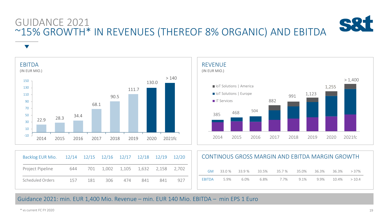## GUIDANCE 2021 ~15% GROWTH\* IN REVENUES (THEREOF 8% ORGANIC) AND EBITDA

 $\blacktriangledown$ 





| Backlog EUR Mio. | 12/14 |     |     | 12/15 12/16 12/17 12/18 |       | 12/19 | 12/20 | CONTINOUS GROSS MARGIN AND EBITDA MARGIN GROWTH |        |         |       |        |       |       |       |         |
|------------------|-------|-----|-----|-------------------------|-------|-------|-------|-------------------------------------------------|--------|---------|-------|--------|-------|-------|-------|---------|
| Project Pipeline | 644   | 701 |     | 1,002 1,105             | 1,632 | 2,158 | 2.702 | <b>GM</b>                                       | 33.0 % | 33.9 %  | 33.5% | 35.7 % | 35.0% | 36.3% | 36.3% | $>37\%$ |
| Scheduled Orders | 157   | 181 | 306 | 474                     | 841   | 841   | 927   | <b>EBITDA</b>                                   | 5.9%   | $6.0\%$ | 6.8%  | 7.7%   | 9.1%  | 9.9%  | 10.4% | >10.4   |

Guidance 2021: min. EUR 1,400 Mio. Revenue – min. EUR 140 Mio. EBITDA – min EPS 1 Euro

 $*$  vs current FC FY 2020 20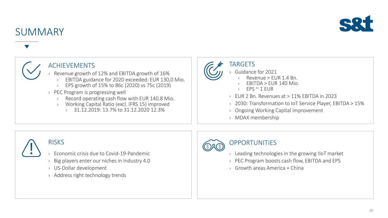

### **SUMMARY**

### ACHIEVEMENTS

› Revenue growth of 12% and EBITDA growth of 16%

- EBITDA guidance for 2020 exceeded: EUR 130,0 Mio.
- › EPS growth of 15% to 86c (2020) vs 75c (2019)
- › PEC Program is progressing well
	- Record operating cash flow with EUR 140.8 Mio.
	- Working Capital Ratio (excl. IFRS 15) improved
		- $\rightarrow$  31.12.2019: 13.7% to 31.12.2020 12.3%



### TARGETS

- Guidance for 2021
	- $Re$ venue > EUR 1.4 Bn.
	- $ERITDA > FUR 140 Mio.$
	- $FPS \cong 1$  FUR
- › EUR 2 Bn. Revenues at > 11% EBITDA in 2023
- › 2030: Transformation to IoT Service Player, EBITDA > 15%
- › Ongoing Working Capital improvement
- › MDAX membership



### **RISKS**

- › Economic crisis due to Covid-19-Pandemic
- › Big players enter our niches in Industry 4.0
- › US-Dollar development
- › Address right technology trends



### **OPPORTUNITIES**

- $\rightarrow$  Leading technologies in the growing IIoT market
- › PEC Program boosts cash flow, EBITDA and EPS
- › Growth areas America + China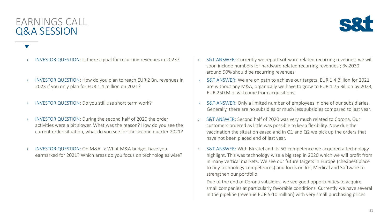### EARNINGS CALL Q&A SESSION



- 
- INVESTOR QUESTION: How do you plan to reach EUR 2 Bn. revenues in 2023 if you only plan for EUR 1.4 million on 2021?
- 
- INVESTOR QUESTION: During the second half of 2020 the order activities were a bit slower. What was the reason? How do you see the current order situation, what do you see for the second quarter 2021?
- INVESTOR QUESTION: On M&A -> What M&A budget have you earmarked for 2021? Which areas do you focus on technologies wise?
- INVESTOR QUESTION: Is there a goal for recurring revenues in 2023?  $\cdot$  S&T ANSWER: Currently we report software related recurring revenues, we will soon include numbers for hardware related recurring revenues ; By 2030 around 90% should be recurring revenues
	- › S&T ANSWER: We are on path to achieve our targets. EUR 1.4 Billion for 2021 are without any M&A, organically we have to grow to EUR 1.75 Billion by 2023, EUR 250 Mio. will come from acquisitions;
- INVESTOR QUESTION: Do you still use short term work? <br>
a S&T ANSWER: Only a limited number of employees in one of our subsidiaries. Generally, there are no subsidies or much less subsidies compared to last year.
	- › S&T ANSWER: Second half of 2020 was very much related to Corona. Our customers ordered as little was possible to keep flexibility. Now due the vaccination the situation eased and in Q1 and Q2 we pick up the orders that have not been placed end of last year.
	- › S&T ANSWER: With Iskratel and its 5G competence we acquired a technology highlight. This was technology wise a big step in 2020 which we will profit from in many vertical markets. We see our future targets in Europe (cheapest place to buy technology competences) and focus on IoT, Medical and Software to strengthen our portfolio.

Due to the end of Corona subsidies, we see good opportunities to acquire small companies at particularly favorable conditions. Currently we have several in the pipeline (revenue EUR 5-10 million) with very small purchasing prices.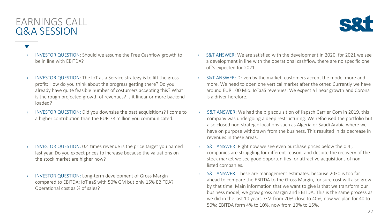### EARNINGS CALL Q&A SESSION



- INVESTOR QUESTION: Should we assume the Free Cashflow growth to be in line with EBITDA?
- › INVESTOR QUESTION: The IoT as a Service strategy is to lift the gross profit: How do you think about the progress getting there? Do you already have quite feasible number of costumers accepting this? What is the rough projected growth of revenues? Is it linear or more backend loaded?
- › INVESTOR QUESTION: Did you downsize the past acquisitions? I come to a higher contribution than the EUR 78 million you communicated.

- INVESTOR QUESTION: 0.4 times revenue is the price target you named last year. Do you expect prices to increase because the valuations on the stock market are higher now?
- INVESTOR QUESTION: Long-term development of Gross Margin compared to EBITDA: IoT aaS with 50% GM but only 15% EBITDA? Operational cost as % of sales?
- S&T ANSWER: We are satisfied with the development in 2020, for 2021 we see a development in line with the operational cashflow, there are no specific one off's expected for 2021.
- S&T ANSWER: Driven by the market, customers accept the model more and more. We need to open one vertical market after the other. Currently we have around EUR 100 Mio. IoTaaS revenues. We expect a linear growth and Corona is a driver herefore.
- › S&T ANSWER: We had the big acquisition of Kapsch Carrier Com in 2019, this company was undergoing a deep restructuring. We refocused the portfolio but also closed non-strategic locations such as Algeria or Saudi Arabia where we have on purpose withdrawn from the business. This resulted in da decrease in revenues in these areas.
- S&T ANSWER: Right now we see even purchase prices below the 0.4, companies are struggling for different reason, and despite the recovery of the stock market we see good opportunities for attractive acquisitions of nonlisted companies.
- › S&T ANSWER: These are management estimates, because 2030 is too far ahead to compare the EBITDA to the Gross Margin, for sure cost will also grow by that time. Main information that we want to give is that we transform our business model, we grow gross margin and EBITDA. This is the same process as we did in the last 10 years: GM from 20% close to 40%, now we plan for 40 to 50%; EBITDA form 4% to 10%, now from 10% to 15%.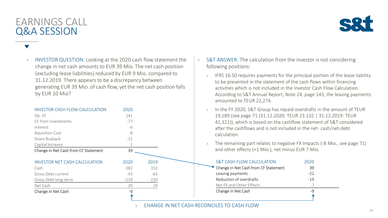### EARNINGS CALL Q&A SESSION



INVESTOR QUESTION: Looking at the 2020 cash flow statement the change in net cash amounts to EUR 39 Mio. The net cash position (excluding lease liabilities) reduced by EUR 9 Mio. compared to 31.12.2019. There appears to be a discrepancy between generating EUR 39 Mio. of cash flow, yet the net cash position falls by EUR 10 Mio?

| <b>INVESTOR CASH FLOW CALCULATION</b> | 2020   |        |
|---------------------------------------|--------|--------|
| Op. CF                                | 141    |        |
| CF from Investments                   | $-77$  |        |
| Interest                              | -6     |        |
| <b>Aquisition Cost</b>                | -8     |        |
| Share Buyback                         | $-12$  |        |
| Capital Increase                      |        |        |
| Change in Net Cash from CF Statement  | 39     |        |
|                                       |        |        |
| INVESTOR NET CASH CALCULATION         | 2020   | 2019   |
| Cash                                  | 282    | 312    |
| Gross Debt current                    | $-43$  | -63    |
| Gross Debt long-term                  | $-219$ | $-220$ |
| Net Cash                              | 20     | 29     |
| Change in Net Cash                    | $-9$   |        |
|                                       |        |        |

- $\rightarrow$  S&T ANSWER: The calculation from the investor is not considering following positions:
	- › IFRS 16.50 requires payments for the principal portion of the lease liability to be presented in the statement of the cash flows within financing activities which is not included in the Investor Cash Flow Calculation. According to S&T Annual Report, Note 24, page 143, the leasing payments amounted to TEUR 22,274.
	- In the FY 2020, S&T Group has repaid overdrafts in the amount of TEUR 19,189 (see page 71 (31.12.2020: TEUR 23.132 | 31.12.2019: TEUR 42,321)), which is based on the cashflow statement of S&T considered after the cashflows and is not included in the net- cash/net-debt calculation.
	- The remaining part relates to negative FX Impacts (-8 Mio., see page 71) and other effects (+1 Mio.), net minus EUR 7 Mio.

| <b>S&amp;T CASH FLOW CALCULATION</b> | 2020  |  |
|--------------------------------------|-------|--|
| Change in Net Cash from CF Statement | 39    |  |
| Leasing payments                     | $-22$ |  |
| Reduction of overdrafts              | $-19$ |  |
| Net FX and Other Effects             | $-7$  |  |
| Change in Net Cash                   | _q    |  |
|                                      |       |  |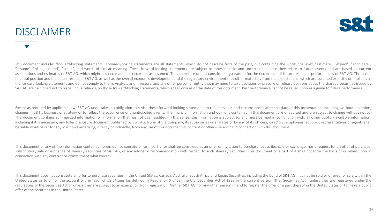### DISCLAIMER



This document includes 'forward-looking statements'. Forward-looking statements are all statements, which do not describe facts of the past, but containing the words "believe", "estimate", "expect", "anticipate", "assume", "plan", "intend", "could", and words of similar meaning. These forward-looking statements are subject to inherent risks and uncertainties since they relate to future events and are based on current assumptions and estimates of S&T AG, which might not occur at all or occur not as assumed. They therefore do not constitute a guarantee for the occurrence of future results or performances of S&T AG. The actual financial position and the actual results of S&T AG, as well as the overall economic development and the regulatory environment may differ materially from the expectations, which are assumed explicitly or implicitly in the forward-looking statements and do not comply to them. Analysts and investors, and any other person or entity that may need to take decisions or prepare or release opinions about the shares / securities issued by S&T AG are cautioned not to place undue reliance on those forward-looking statements, which speak only as of the date of this document. Past performance cannot be relied upon as a guide to future performance.

Except as required by applicable law, S&T AG undertakes no obligation to revise these forward-looking statements to reflect events and circumstances after the date of this presentation, including, without limitation, changes in S&T's business or strategy or to reflect the occurrence of unanticipated events. The financial information and opinions contained in this document are unaudited and are subject to change without notice. This document contains summarized information or information that has not been audited. In this sense, this information is subject to, and must be read in conjunction with, all other publicly available information, including if it is necessary, any fuller disclosure document published by S&T AG. None of the Company, its subsidiaries or affiliates or by any of its officers, directors, employees, advisors, representatives or agents sha be liable whatsoever for any loss however arising, directly or indirectly, from any use of this document its content or otherwise arising in connection with this document.

This document or any of the information contained herein do not constitute, form part of or shall be construed as an offer or invitation to purchase, subscribe, sale or exchange, nor a request for an offer of purchase, subscription, sale or exchange of shares / securities of S&T AG, or any advice or recommendation with respect to such shares / securities. This document or a part of it shall not form the basis of or relied upon in connection with any contract or commitment whatsoever.

This document does not constitute an offer to purchase securities in the United States, Canada, Australia, South Africa and Japan. Securities, including the bond of S&T AG may not be sold or offered for sale within the United States or to or for the account of / in favor of US citizens (as defined in Regulation S under the U.S. Securities Act of 1933 in the current version (the "Securities Act") unless they are registered under the regulations of the Securities Act or unless they are subject to an exemption from registration. Neither S&T AG nor any other person intend to register the offer or a part thereof in the United States or to make a public offer of the securities in the United States.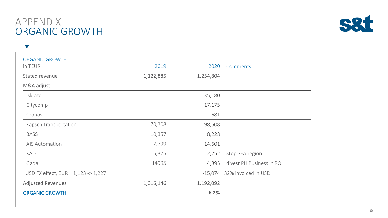#### 25

| APPENDIX       |
|----------------|
| ORGANIC GROWTH |

 $\blacktriangledown$ 

| <b>ORGANIC GROWTH</b><br>in TEUR               | 2019      | 2020      | Comments                 |
|------------------------------------------------|-----------|-----------|--------------------------|
| <b>Stated revenue</b>                          | 1,122,885 | 1,254,804 |                          |
| M&A adjust                                     |           |           |                          |
| Iskratel                                       |           | 35,180    |                          |
| Citycomp                                       |           | 17,175    |                          |
| Cronos                                         |           | 681       |                          |
| Kapsch Transportation                          | 70,308    | 98,608    |                          |
| <b>BASS</b>                                    | 10,357    | 8,228     |                          |
| <b>AIS Automation</b>                          | 2,799     | 14,601    |                          |
| <b>KAD</b>                                     | 5,375     | 2,252     | Stop SEA region          |
| Gada                                           | 14995     | 4,895     | divest PH Business in RO |
| USD FX effect, $EUR = 1,123 \rightarrow 1,227$ |           | $-15,074$ | 32% invoiced in USD      |
| <b>Adjusted Revenues</b>                       | 1,016,146 | 1,192,092 |                          |
| <b>ORGANIC GROWTH</b>                          |           | 6.2%      |                          |
|                                                |           |           |                          |

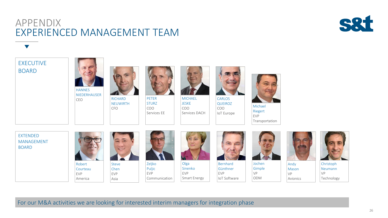### APPENDIX EXPERIENCED MANAGEMENT TEAM



 $\blacktriangledown$ 



For our M&A activities we are looking for interested interim managers for integration phase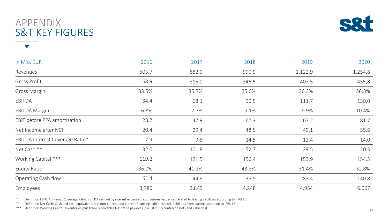\* Definition EBITDA Interest Coverage Ratio: EBITDA divided by interest expenses (excl. interest expenses related to leasing liabilities according to IFRS 16)<br>\*\* Definition Net Cash: Cash and cash equivalents less non-curr

Definition Net Cash: Cash and cash equivalents less non-current and current financing liabilities (excl. liabilities from leasing according to IFRS 16)

\*\*\* Definition Working Capital: Inventories plus trade receivables less trade payables (excl. IFRS 15 contract assets and liabilities)

| In Mio. EUR                     | 2016  | 2017  | 2018  | 2019    | 2020    |
|---------------------------------|-------|-------|-------|---------|---------|
| Revenues                        | 503.7 | 882.0 | 990.9 | 1,122.9 | 1,254.8 |
| Gross Profit                    | 168.9 | 315,0 | 346.5 | 407.5   | 455,8   |
| Gross Margin                    | 33.5% | 35.7% | 35.0% | 36.3%   | 36,3%   |
| EBITDA                          | 34.4  | 68.1  | 90.5  | 111.7   | 130.0   |
| <b>EBITDA Margin</b>            | 6.8%  | 7.7%  | 9.1%  | 9.9%    | 10.4%   |
| EBIT before PPA amortization    | 28.2  | 47.9  | 67.3  | 67.2    | 81.7    |
| Net Income after NCI            | 20.4  | 29.4  | 48.5  | 49.1    | 55.6    |
| EBITDA Interest Coverage Ratio* | 7.9   | 9.8   | 14.5  | 12,4    | 14,0    |
| Net Cash **                     | 32.0  | 101.8 | 52.7  | 29.5    | 20.3    |
| Working Capital ***             | 119.2 | 121.5 | 156.4 | 153.9   | 154.3   |
| Equity Ratio                    | 36.0% | 41.2% | 43.3% | 31.4%   | 32.8%   |
| Operating Cash flow             | 61.4  | 44.9  | 35.5  | 83.4    | 140.8   |
| Employees                       | 3,786 | 3,849 | 4,248 | 4,934   | 6.067   |

### APPENDIX S&T KEY FIGURES



27